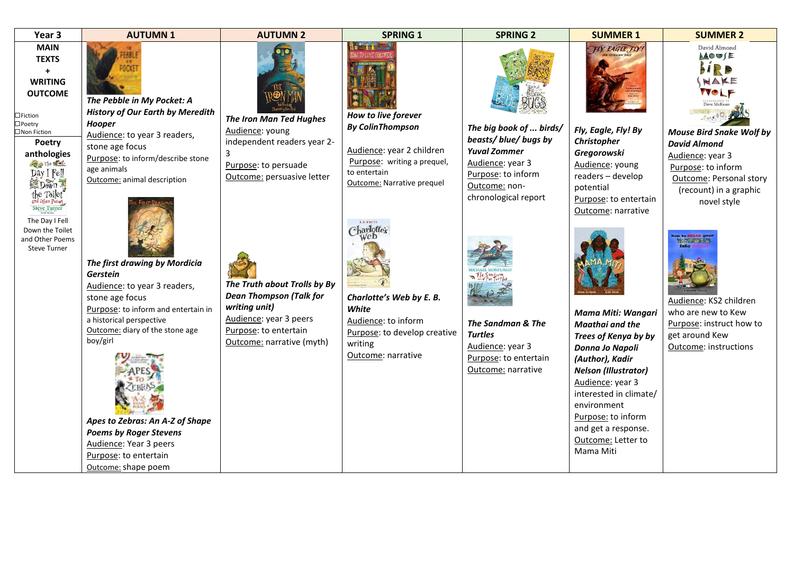| Year 3                                                                                                                                                                                  | <b>AUTUMN1</b>                                                                                                                                                                                                                                                                                                                                               | <b>AUTUMN 2</b>                                                                                                                                                 | <b>SPRING 1</b>                                                                                                                                                               | <b>SPRING 2</b>                                                                                                                                         | <b>SUMMER 1</b>                                                                                                                                                                                                                                                                        | <b>SUMMER 2</b>                                                                                                                                                      |
|-----------------------------------------------------------------------------------------------------------------------------------------------------------------------------------------|--------------------------------------------------------------------------------------------------------------------------------------------------------------------------------------------------------------------------------------------------------------------------------------------------------------------------------------------------------------|-----------------------------------------------------------------------------------------------------------------------------------------------------------------|-------------------------------------------------------------------------------------------------------------------------------------------------------------------------------|---------------------------------------------------------------------------------------------------------------------------------------------------------|----------------------------------------------------------------------------------------------------------------------------------------------------------------------------------------------------------------------------------------------------------------------------------------|----------------------------------------------------------------------------------------------------------------------------------------------------------------------|
| <b>MAIN</b><br><b>TEXTS</b><br>$\ddot{}$<br><b>WRITING</b><br><b>OUTCOME</b>                                                                                                            | The Pebble in My Pocket: A                                                                                                                                                                                                                                                                                                                                   |                                                                                                                                                                 |                                                                                                                                                                               |                                                                                                                                                         | FIY, EAGLE, FIY!                                                                                                                                                                                                                                                                       | David Almond<br><b>AOUSE</b><br>SIRO<br>MAKE<br>Dave McKean                                                                                                          |
| $\Box$ Fiction<br>$\Box$ Poetry<br>□Non Fiction<br>Poetry<br>anthologies<br>The story<br>Day I Fell<br>Dawn 7<br>the Toilet<br>ind Other Poems<br><b>Steve Turner</b><br>The Day I Fell | <b>History of Our Earth by Meredith</b><br>Hooper<br>Audience: to year 3 readers,<br>stone age focus<br>Purpose: to inform/describe stone<br>age animals<br>Outcome: animal description                                                                                                                                                                      | <b>The Iron Man Ted Hughes</b><br>Audience: young<br>independent readers year 2-<br>Purpose: to persuade<br>Outcome: persuasive letter                          | How to live forever<br><b>By ColinThompson</b><br>Audience: year 2 children<br>Purpose: writing a prequel,<br>to entertain<br><b>Outcome: Narrative prequel</b><br>E.B. WHITE | The big book of  birds/<br>beasts/blue/bugsby<br><b>Yuval Zommer</b><br>Audience: year 3<br>Purpose: to inform<br>Outcome: non-<br>chronological report | Fly, Eagle, Fly! By<br>Christopher<br>Gregorowski<br>Audience: young<br>readers - develop<br>potential<br>Purpose: to entertain<br>Outcome: narrative                                                                                                                                  | <b>Mouse Bird Snake Wolf by</b><br><b>David Almond</b><br>Audience: year 3<br>Purpose: to inform<br>Outcome: Personal story<br>(recount) in a graphic<br>novel style |
| Down the Toilet<br>and Other Poems<br><b>Steve Turner</b>                                                                                                                               | The first drawing by Mordicia<br>Gerstein<br>Audience: to year 3 readers,<br>stone age focus<br>Purpose: to inform and entertain in<br>a historical perspective<br>Outcome: diary of the stone age<br>boy/girl<br>Apes to Zebras: An A-Z of Shape<br><b>Poems by Roger Stevens</b><br>Audience: Year 3 peers<br>Purpose: to entertain<br>Outcome: shape poem | The Truth about Trolls by By<br><b>Dean Thompson (Talk for</b><br>writing unit)<br>Audience: year 3 peers<br>Purpose: to entertain<br>Outcome: narrative (myth) | Charlotte's<br>Charlotte's Web by E. B.<br>White<br>Audience: to inform<br>Purpose: to develop creative<br>writing<br>Outcome: narrative                                      | The Sandman & The<br><b>Turtles</b><br>Audience: year 3<br>Purpose: to entertain<br>Outcome: narrative                                                  | <b>Mama Miti: Wangari</b><br>Maathai and the<br>Trees of Kenya by by<br>Donna Jo Napoli<br>(Author), Kadir<br><b>Nelson (Illustrator)</b><br>Audience: year 3<br>interested in climate/<br>environment<br>Purpose: to inform<br>and get a response.<br>Outcome: Letter to<br>Mama Miti | ous to SHEAR your<br><b>MONSCRATE</b><br>Audience: KS2 children<br>who are new to Kew<br>Purpose: instruct how to<br>get around Kew<br>Outcome: instructions         |